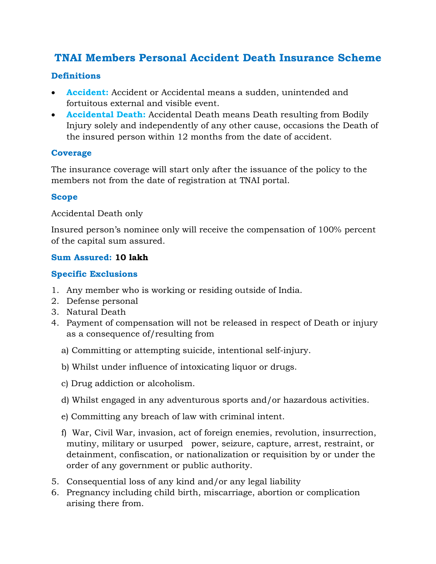# **TNAI Members Personal Accident Death Insurance Scheme**

## **Definitions**

- **Accident:** Accident or Accidental means a sudden, unintended and fortuitous external and visible event.
- **Accidental Death:** Accidental Death means Death resulting from Bodily Injury solely and independently of any other cause, occasions the Death of the insured person within 12 months from the date of accident.

#### **Coverage**

The insurance coverage will start only after the issuance of the policy to the members not from the date of registration at TNAI portal.

#### **Scope**

Accidental Death only

Insured person's nominee only will receive the compensation of 100% percent of the capital sum assured.

#### **Sum Assured: 10 lakh**

#### **Specific Exclusions**

- 1. Any member who is working or residing outside of India.
- 2. Defense personal
- 3. Natural Death
- 4. Payment of compensation will not be released in respect of Death or injury as a consequence of/resulting from
	- a) Committing or attempting suicide, intentional self-injury.
	- b) Whilst under influence of intoxicating liquor or drugs.
	- c) Drug addiction or alcoholism.
	- d) Whilst engaged in any adventurous sports and/or hazardous activities.
	- e) Committing any breach of law with criminal intent.
	- f) War, Civil War, invasion, act of foreign enemies, revolution, insurrection, mutiny, military or usurped power, seizure, capture, arrest, restraint, or detainment, confiscation, or nationalization or requisition by or under the order of any government or public authority.
- 5. Consequential loss of any kind and/or any legal liability
- 6. Pregnancy including child birth, miscarriage, abortion or complication arising there from.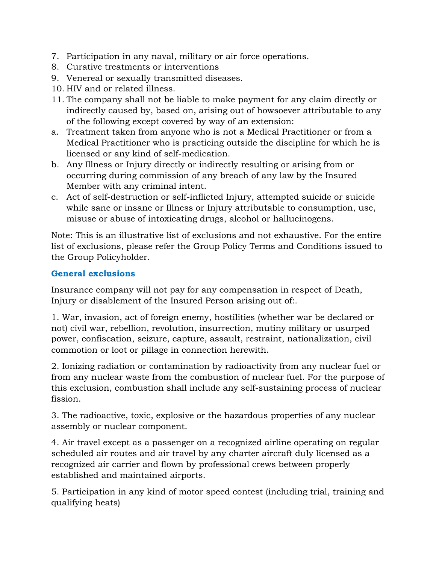- 7. Participation in any naval, military or air force operations.
- 8. Curative treatments or interventions
- 9. Venereal or sexually transmitted diseases.
- 10. HIV and or related illness.
- 11. The company shall not be liable to make payment for any claim directly or indirectly caused by, based on, arising out of howsoever attributable to any of the following except covered by way of an extension:
- a. Treatment taken from anyone who is not a Medical Practitioner or from a Medical Practitioner who is practicing outside the discipline for which he is licensed or any kind of self-medication.
- b. Any Illness or Injury directly or indirectly resulting or arising from or occurring during commission of any breach of any law by the Insured Member with any criminal intent.
- c. Act of self-destruction or self-inflicted Injury, attempted suicide or suicide while sane or insane or Illness or Injury attributable to consumption, use, misuse or abuse of intoxicating drugs, alcohol or hallucinogens.

Note: This is an illustrative list of exclusions and not exhaustive. For the entire list of exclusions, please refer the Group Policy Terms and Conditions issued to the Group Policyholder.

### **General exclusions**

Insurance company will not pay for any compensation in respect of Death, Injury or disablement of the Insured Person arising out of:.

1. War, invasion, act of foreign enemy, hostilities (whether war be declared or not) civil war, rebellion, revolution, insurrection, mutiny military or usurped power, confiscation, seizure, capture, assault, restraint, nationalization, civil commotion or loot or pillage in connection herewith.

2. Ionizing radiation or contamination by radioactivity from any nuclear fuel or from any nuclear waste from the combustion of nuclear fuel. For the purpose of this exclusion, combustion shall include any self-sustaining process of nuclear fission.

3. The radioactive, toxic, explosive or the hazardous properties of any nuclear assembly or nuclear component.

4. Air travel except as a passenger on a recognized airline operating on regular scheduled air routes and air travel by any charter aircraft duly licensed as a recognized air carrier and flown by professional crews between properly established and maintained airports.

5. Participation in any kind of motor speed contest (including trial, training and qualifying heats)